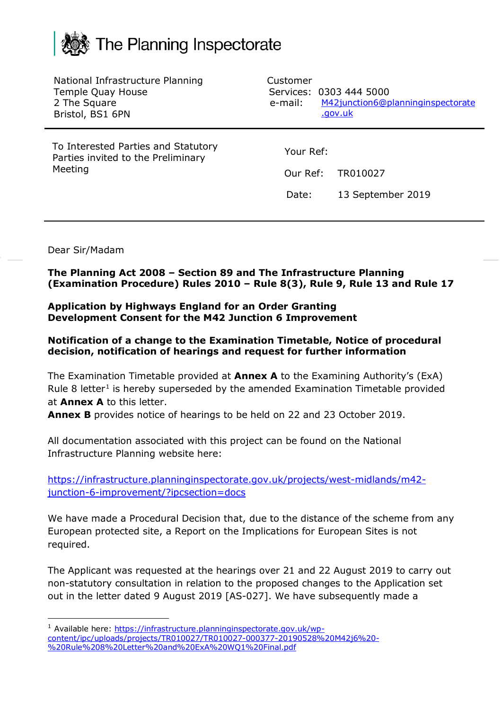# The Planning Inspectorate

| National Infrastructure Planning<br>Temple Quay House<br>2 The Square<br>Bristol, BS1 6PN | Customer<br>Services: 0303 444 5000<br>M42junction6@planninginspectorate<br>e-mail:<br>.gov.uk |
|-------------------------------------------------------------------------------------------|------------------------------------------------------------------------------------------------|
| To Interested Parties and Statutory                                                       | Your Ref:                                                                                      |
| Parties invited to the Preliminary                                                        | $Q_{\text{UE}}$ $D \circ f_{\text{E}}$                                                         |
| Meeting                                                                                   | TD010027                                                                                       |

Our Ref: TR010027

Date: 13 September 2019

Dear Sir/Madam

-

**The Planning Act 2008 – Section 89 and The Infrastructure Planning (Examination Procedure) Rules 2010 – Rule 8(3), Rule 9, Rule 13 and Rule 17**

**Application by Highways England for an Order Granting Development Consent for the M42 Junction 6 Improvement**

## **Notification of a change to the Examination Timetable, Notice of procedural decision, notification of hearings and request for further information**

The Examination Timetable provided at **Annex A** to the Examining Authority's (ExA) Rule 8 letter<sup>[1](#page-0-0)</sup> is hereby superseded by the amended Examination Timetable provided at **Annex A** to this letter.

**Annex B** provides notice of hearings to be held on 22 and 23 October 2019.

All documentation associated with this project can be found on the National Infrastructure Planning website here:

[https://infrastructure.planninginspectorate.gov.uk/projects/west-midlands/m42](https://infrastructure.planninginspectorate.gov.uk/projects/west-midlands/m42-junction-6-improvement/?ipcsection=docs) [junction-6-improvement/?ipcsection=docs](https://infrastructure.planninginspectorate.gov.uk/projects/west-midlands/m42-junction-6-improvement/?ipcsection=docs)

We have made a Procedural Decision that, due to the distance of the scheme from any European protected site, a Report on the Implications for European Sites is not required.

The Applicant was requested at the hearings over 21 and 22 August 2019 to carry out non-statutory consultation in relation to the proposed changes to the Application set out in the letter dated 9 August 2019 [AS-027]. We have subsequently made a

<span id="page-0-0"></span><sup>&</sup>lt;sup>1</sup> Available here: [https://infrastructure.planninginspectorate.gov.uk/wp](https://infrastructure.planninginspectorate.gov.uk/wp-content/ipc/uploads/projects/TR010027/TR010027-000377-20190528%20M42j6%20-%20Rule%208%20Letter%20and%20ExA%20WQ1%20Final.pdf)[content/ipc/uploads/projects/TR010027/TR010027-000377-20190528%20M42j6%20-](https://infrastructure.planninginspectorate.gov.uk/wp-content/ipc/uploads/projects/TR010027/TR010027-000377-20190528%20M42j6%20-%20Rule%208%20Letter%20and%20ExA%20WQ1%20Final.pdf) [%20Rule%208%20Letter%20and%20ExA%20WQ1%20Final.pdf](https://infrastructure.planninginspectorate.gov.uk/wp-content/ipc/uploads/projects/TR010027/TR010027-000377-20190528%20M42j6%20-%20Rule%208%20Letter%20and%20ExA%20WQ1%20Final.pdf)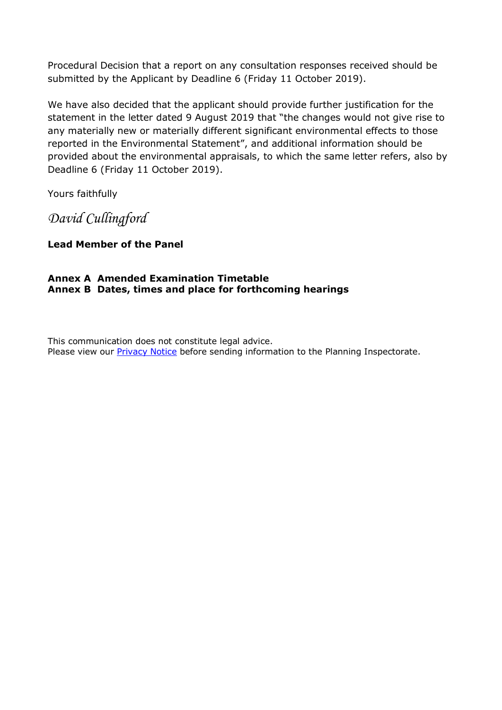Procedural Decision that a report on any consultation responses received should be submitted by the Applicant by Deadline 6 (Friday 11 October 2019).

We have also decided that the applicant should provide further justification for the statement in the letter dated 9 August 2019 that "the changes would not give rise to any materially new or materially different significant environmental effects to those reported in the Environmental Statement", and additional information should be provided about the environmental appraisals, to which the same letter refers, also by Deadline 6 (Friday 11 October 2019).

Yours faithfully

*David Cullingford*

## **Lead Member of the Panel**

## **Annex A Amended Examination Timetable Annex B Dates, times and place for forthcoming hearings**

This communication does not constitute legal advice. Please view our **Privacy Notice** before sending information to the Planning Inspectorate.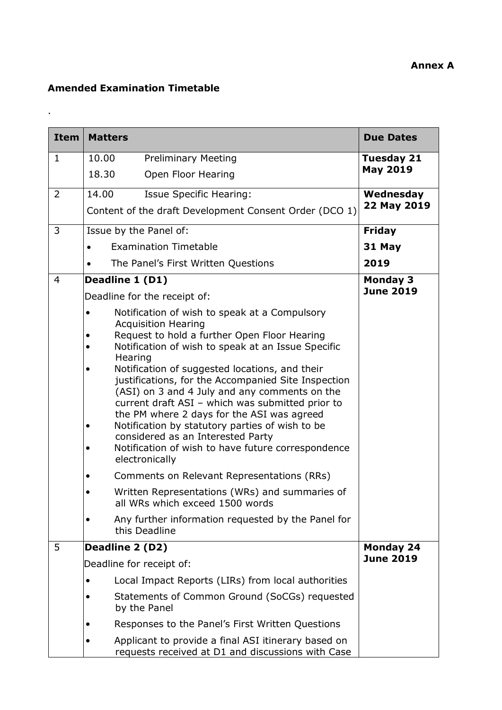## **Annex A**

## **Amended Examination Timetable**

.

| Item           | <b>Matters</b>                                                                                                                                                                                                                                                                                                                                                                                                                                                                                                                                                                                                                                                                                                                                                                                                                                              | <b>Due Dates</b>                     |
|----------------|-------------------------------------------------------------------------------------------------------------------------------------------------------------------------------------------------------------------------------------------------------------------------------------------------------------------------------------------------------------------------------------------------------------------------------------------------------------------------------------------------------------------------------------------------------------------------------------------------------------------------------------------------------------------------------------------------------------------------------------------------------------------------------------------------------------------------------------------------------------|--------------------------------------|
| $\mathbf{1}$   | 10.00<br><b>Preliminary Meeting</b><br>18.30<br>Open Floor Hearing                                                                                                                                                                                                                                                                                                                                                                                                                                                                                                                                                                                                                                                                                                                                                                                          | <b>Tuesday 21</b><br><b>May 2019</b> |
| $\overline{2}$ | 14.00<br><b>Issue Specific Hearing:</b><br>Content of the draft Development Consent Order (DCO 1)                                                                                                                                                                                                                                                                                                                                                                                                                                                                                                                                                                                                                                                                                                                                                           | Wednesday<br>22 May 2019             |
| 3              | Issue by the Panel of:                                                                                                                                                                                                                                                                                                                                                                                                                                                                                                                                                                                                                                                                                                                                                                                                                                      | <b>Friday</b>                        |
|                | <b>Examination Timetable</b>                                                                                                                                                                                                                                                                                                                                                                                                                                                                                                                                                                                                                                                                                                                                                                                                                                | 31 May                               |
|                | The Panel's First Written Questions                                                                                                                                                                                                                                                                                                                                                                                                                                                                                                                                                                                                                                                                                                                                                                                                                         | 2019                                 |
| 4              | Deadline 1 (D1)<br>Deadline for the receipt of:                                                                                                                                                                                                                                                                                                                                                                                                                                                                                                                                                                                                                                                                                                                                                                                                             | <b>Monday 3</b><br><b>June 2019</b>  |
|                | Notification of wish to speak at a Compulsory<br>٠<br><b>Acquisition Hearing</b><br>Request to hold a further Open Floor Hearing<br>Notification of wish to speak at an Issue Specific<br>٠<br>Hearing<br>Notification of suggested locations, and their<br>٠<br>justifications, for the Accompanied Site Inspection<br>(ASI) on 3 and 4 July and any comments on the<br>current draft ASI - which was submitted prior to<br>the PM where 2 days for the ASI was agreed<br>Notification by statutory parties of wish to be<br>٠<br>considered as an Interested Party<br>Notification of wish to have future correspondence<br>electronically<br>Comments on Relevant Representations (RRs)<br>٠<br>Written Representations (WRs) and summaries of<br>all WRs which exceed 1500 words<br>Any further information requested by the Panel for<br>this Deadline |                                      |
| 5              | Deadline 2 (D2)                                                                                                                                                                                                                                                                                                                                                                                                                                                                                                                                                                                                                                                                                                                                                                                                                                             | <b>Monday 24</b>                     |
|                | Deadline for receipt of:                                                                                                                                                                                                                                                                                                                                                                                                                                                                                                                                                                                                                                                                                                                                                                                                                                    | <b>June 2019</b>                     |
|                | Local Impact Reports (LIRs) from local authorities<br>$\bullet$                                                                                                                                                                                                                                                                                                                                                                                                                                                                                                                                                                                                                                                                                                                                                                                             |                                      |
|                | Statements of Common Ground (SoCGs) requested<br>by the Panel                                                                                                                                                                                                                                                                                                                                                                                                                                                                                                                                                                                                                                                                                                                                                                                               |                                      |
|                | Responses to the Panel's First Written Questions                                                                                                                                                                                                                                                                                                                                                                                                                                                                                                                                                                                                                                                                                                                                                                                                            |                                      |
|                | Applicant to provide a final ASI itinerary based on<br>requests received at D1 and discussions with Case                                                                                                                                                                                                                                                                                                                                                                                                                                                                                                                                                                                                                                                                                                                                                    |                                      |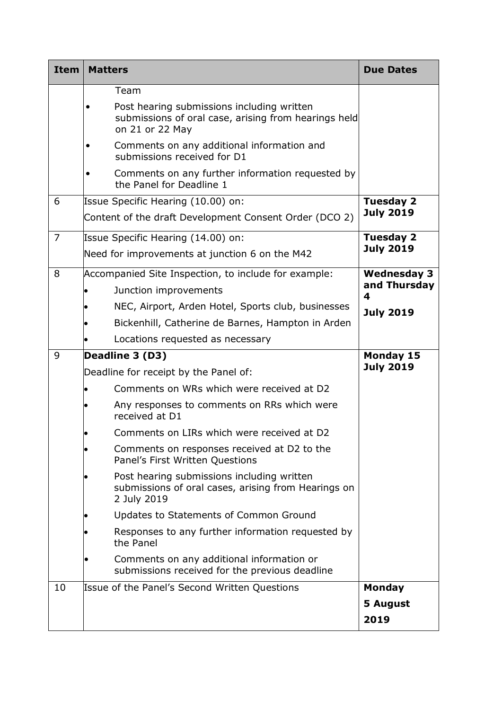| Item $ $       | <b>Matters</b>                                                                                                        | <b>Due Dates</b>   |
|----------------|-----------------------------------------------------------------------------------------------------------------------|--------------------|
|                | Team                                                                                                                  |                    |
|                | Post hearing submissions including written<br>submissions of oral case, arising from hearings held<br>on 21 or 22 May |                    |
|                | Comments on any additional information and<br>submissions received for D1                                             |                    |
|                | Comments on any further information requested by<br>the Panel for Deadline 1                                          |                    |
| 6              | Issue Specific Hearing (10.00) on:                                                                                    | <b>Tuesday 2</b>   |
|                | Content of the draft Development Consent Order (DCO 2)                                                                | <b>July 2019</b>   |
| $\overline{7}$ | Issue Specific Hearing (14.00) on:                                                                                    | <b>Tuesday 2</b>   |
|                | Need for improvements at junction 6 on the M42                                                                        | <b>July 2019</b>   |
| 8              | Accompanied Site Inspection, to include for example:                                                                  | <b>Wednesday 3</b> |
|                | Junction improvements                                                                                                 | and Thursday<br>4  |
|                | NEC, Airport, Arden Hotel, Sports club, businesses                                                                    | <b>July 2019</b>   |
|                | Bickenhill, Catherine de Barnes, Hampton in Arden                                                                     |                    |
|                | Locations requested as necessary                                                                                      |                    |
| 9              | Deadline 3 (D3)                                                                                                       | <b>Monday 15</b>   |
|                | Deadline for receipt by the Panel of:                                                                                 | <b>July 2019</b>   |
|                | Comments on WRs which were received at D2                                                                             |                    |
|                | Any responses to comments on RRs which were<br>received at D1                                                         |                    |
|                | Comments on LIRs which were received at D2                                                                            |                    |
|                | Comments on responses received at D2 to the<br>Panel's First Written Questions                                        |                    |
|                | Post hearing submissions including written<br>submissions of oral cases, arising from Hearings on<br>2 July 2019      |                    |
|                | Updates to Statements of Common Ground                                                                                |                    |
|                | Responses to any further information requested by<br>the Panel                                                        |                    |
|                | Comments on any additional information or<br>$\bullet$<br>submissions received for the previous deadline              |                    |
| 10             | Issue of the Panel's Second Written Questions                                                                         | <b>Monday</b>      |
|                |                                                                                                                       | <b>5 August</b>    |
|                |                                                                                                                       | 2019               |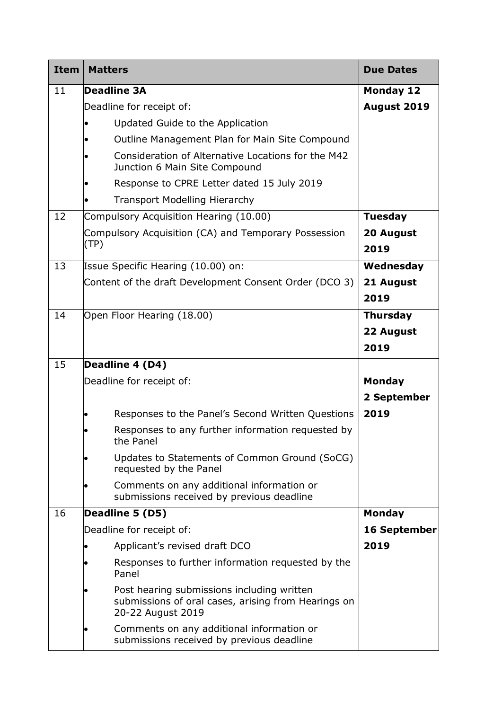| <b>Item</b> | <b>Matters</b>                                                                                                         | <b>Due Dates</b> |
|-------------|------------------------------------------------------------------------------------------------------------------------|------------------|
| 11          | <b>Deadline 3A</b>                                                                                                     | <b>Monday 12</b> |
|             | Deadline for receipt of:                                                                                               | August 2019      |
|             | Updated Guide to the Application<br>$\bullet$                                                                          |                  |
|             | Outline Management Plan for Main Site Compound                                                                         |                  |
|             | Consideration of Alternative Locations for the M42<br>Junction 6 Main Site Compound                                    |                  |
|             | Response to CPRE Letter dated 15 July 2019                                                                             |                  |
|             | <b>Transport Modelling Hierarchy</b>                                                                                   |                  |
| 12          | Compulsory Acquisition Hearing (10.00)                                                                                 | <b>Tuesday</b>   |
|             | Compulsory Acquisition (CA) and Temporary Possession                                                                   | 20 August        |
|             | (TP)                                                                                                                   | 2019             |
| 13          | Issue Specific Hearing (10.00) on:                                                                                     | Wednesday        |
|             | Content of the draft Development Consent Order (DCO 3)                                                                 | 21 August        |
|             |                                                                                                                        | 2019             |
| 14          | Open Floor Hearing (18.00)                                                                                             | <b>Thursday</b>  |
|             |                                                                                                                        | 22 August        |
|             |                                                                                                                        | 2019             |
| 15          | Deadline 4 (D4)                                                                                                        |                  |
|             | Deadline for receipt of:                                                                                               | <b>Monday</b>    |
|             |                                                                                                                        | 2 September      |
|             | Responses to the Panel's Second Written Questions                                                                      | 2019             |
|             | Responses to any further information requested by<br>the Panel                                                         |                  |
|             | Updates to Statements of Common Ground (SoCG)<br>requested by the Panel                                                |                  |
|             | Comments on any additional information or<br>submissions received by previous deadline                                 |                  |
| 16          | Deadline 5 (D5)                                                                                                        | Monday           |
|             | Deadline for receipt of:                                                                                               | 16 September     |
|             | Applicant's revised draft DCO                                                                                          | 2019             |
|             | Responses to further information requested by the<br>Panel                                                             |                  |
|             | Post hearing submissions including written<br>submissions of oral cases, arising from Hearings on<br>20-22 August 2019 |                  |
|             | Comments on any additional information or<br>submissions received by previous deadline                                 |                  |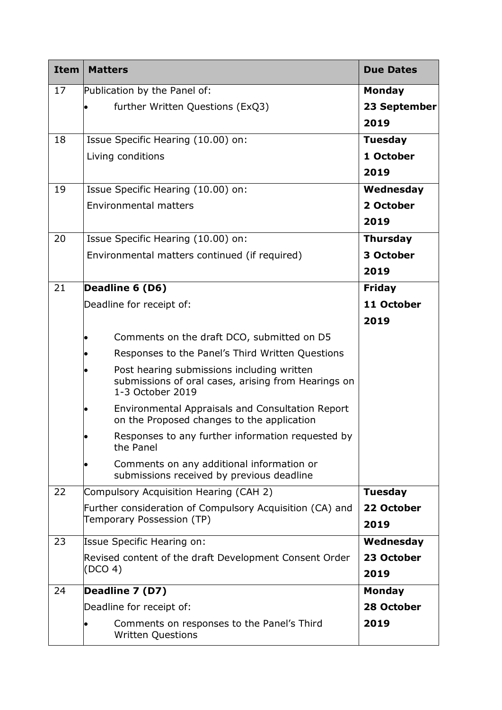| <b>Item</b> | <b>Matters</b>                                                                                                        | <b>Due Dates</b> |
|-------------|-----------------------------------------------------------------------------------------------------------------------|------------------|
| 17          | Publication by the Panel of:                                                                                          | <b>Monday</b>    |
|             | further Written Questions (ExQ3)<br>$\bullet$                                                                         | 23 September     |
|             |                                                                                                                       | 2019             |
| 18          | Issue Specific Hearing (10.00) on:                                                                                    | <b>Tuesday</b>   |
|             | Living conditions                                                                                                     | 1 October        |
|             |                                                                                                                       | 2019             |
| 19          | Issue Specific Hearing (10.00) on:                                                                                    | Wednesday        |
|             | <b>Environmental matters</b>                                                                                          | 2 October        |
|             |                                                                                                                       | 2019             |
| 20          | Issue Specific Hearing (10.00) on:                                                                                    | <b>Thursday</b>  |
|             | Environmental matters continued (if required)                                                                         | 3 October        |
|             |                                                                                                                       | 2019             |
| 21          | Deadline 6 (D6)                                                                                                       | <b>Friday</b>    |
|             | Deadline for receipt of:                                                                                              | 11 October       |
|             |                                                                                                                       | 2019             |
|             | Comments on the draft DCO, submitted on D5                                                                            |                  |
|             | Responses to the Panel's Third Written Questions                                                                      |                  |
|             | Post hearing submissions including written<br>submissions of oral cases, arising from Hearings on<br>1-3 October 2019 |                  |
|             | <b>Environmental Appraisals and Consultation Report</b><br>on the Proposed changes to the application                 |                  |
|             | Responses to any further information requested by<br>the Panel                                                        |                  |
|             | Comments on any additional information or<br>submissions received by previous deadline                                |                  |
| 22          | Compulsory Acquisition Hearing (CAH 2)                                                                                | <b>Tuesday</b>   |
|             | Further consideration of Compulsory Acquisition (CA) and                                                              | 22 October       |
|             | Temporary Possession (TP)                                                                                             | 2019             |
| 23          | Issue Specific Hearing on:                                                                                            | Wednesday        |
|             | Revised content of the draft Development Consent Order                                                                | 23 October       |
|             | (DCO 4)                                                                                                               | 2019             |
| 24          | Deadline 7 (D7)                                                                                                       | <b>Monday</b>    |
|             | Deadline for receipt of:                                                                                              | 28 October       |
|             | Comments on responses to the Panel's Third<br><b>Written Questions</b>                                                | 2019             |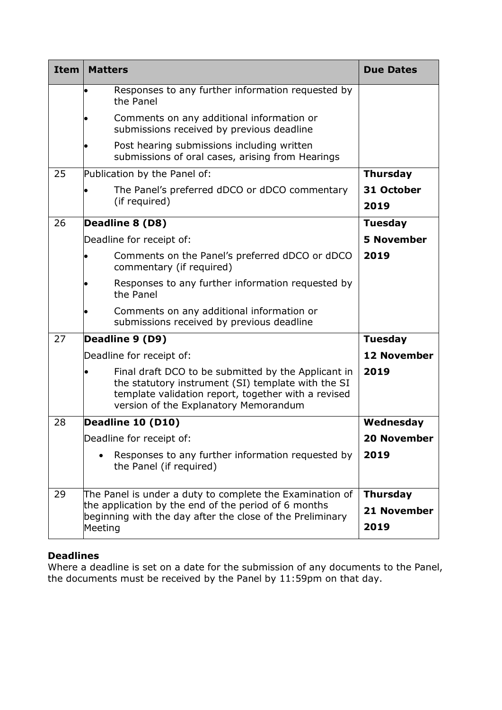| <b>Item</b> | <b>Matters</b>                                                                                                                                                                                            | <b>Due Dates</b>                       |
|-------------|-----------------------------------------------------------------------------------------------------------------------------------------------------------------------------------------------------------|----------------------------------------|
|             | Responses to any further information requested by<br>the Panel                                                                                                                                            |                                        |
|             | Comments on any additional information or<br>submissions received by previous deadline                                                                                                                    |                                        |
|             | Post hearing submissions including written<br>submissions of oral cases, arising from Hearings                                                                                                            |                                        |
| 25          | Publication by the Panel of:                                                                                                                                                                              | <b>Thursday</b>                        |
|             | The Panel's preferred dDCO or dDCO commentary<br>(if required)                                                                                                                                            | 31 October<br>2019                     |
| 26          | Deadline 8 (D8)                                                                                                                                                                                           | <b>Tuesday</b>                         |
|             | Deadline for receipt of:                                                                                                                                                                                  | <b>5 November</b>                      |
|             | Comments on the Panel's preferred dDCO or dDCO<br>commentary (if required)                                                                                                                                | 2019                                   |
|             | Responses to any further information requested by<br>the Panel                                                                                                                                            |                                        |
|             | Comments on any additional information or<br>submissions received by previous deadline                                                                                                                    |                                        |
| 27          | Deadline 9 (D9)                                                                                                                                                                                           | <b>Tuesday</b>                         |
|             | Deadline for receipt of:                                                                                                                                                                                  | <b>12 November</b>                     |
|             | Final draft DCO to be submitted by the Applicant in<br>the statutory instrument (SI) template with the SI<br>template validation report, together with a revised<br>version of the Explanatory Memorandum | 2019                                   |
| 28          | Deadline 10 (D10)                                                                                                                                                                                         | Wednesday                              |
|             | Deadline for receipt of:                                                                                                                                                                                  | <b>20 November</b>                     |
|             | Responses to any further information requested by<br>the Panel (if required)                                                                                                                              | 2019                                   |
| 29          | The Panel is under a duty to complete the Examination of<br>the application by the end of the period of 6 months<br>beginning with the day after the close of the Preliminary<br>Meeting                  | <b>Thursday</b><br>21 November<br>2019 |

## **Deadlines**

Where a deadline is set on a date for the submission of any documents to the Panel, the documents must be received by the Panel by 11:59pm on that day.